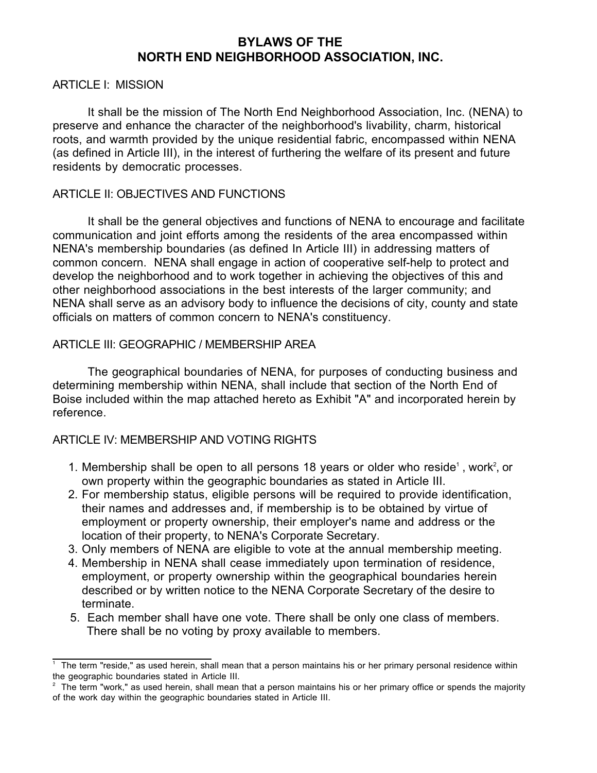# **BYLAWS OF THE NORTH END NEIGHBORHOOD ASSOCIATION, INC.**

#### ARTICLE I: MISSION

It shall be the mission of The North End Neighborhood Association, Inc. (NENA) to preserve and enhance the character of the neighborhood's livability, charm, historical roots, and warmth provided by the unique residential fabric, encompassed within NENA (as defined in Article III), in the interest of furthering the welfare of its present and future residents by democratic processes.

#### ARTICLE II: OBJECTIVES AND FUNCTIONS

It shall be the general objectives and functions of NENA to encourage and facilitate communication and joint efforts among the residents of the area encompassed within NENA's membership boundaries (as defined In Article III) in addressing matters of common concern. NENA shall engage in action of cooperative self-help to protect and develop the neighborhood and to work together in achieving the objectives of this and other neighborhood associations in the best interests of the larger community; and NENA shall serve as an advisory body to influence the decisions of city, county and state officials on matters of common concern to NENA's constituency.

### ARTICLE III: GEOGRAPHIC / MEMBERSHIP AREA

The geographical boundaries of NENA, for purposes of conducting business and determining membership within NENA, shall include that section of the North End of Boise included within the map attached hereto as Exhibit "A" and incorporated herein by reference.

#### ARTICLE IV: MEMBERSHIP AND VOTING RIGHTS

- 1. Membership shall be open to all persons 18 years or older who reside<sup>1</sup>, work<sup>2</sup>, or own property within the geographic boundaries as stated in Article III.
- 2. For membership status, eligible persons will be required to provide identification, their names and addresses and, if membership is to be obtained by virtue of employment or property ownership, their employer's name and address or the location of their property, to NENA's Corporate Secretary.
- 3. Only members of NENA are eligible to vote at the annual membership meeting.
- 4. Membership in NENA shall cease immediately upon termination of residence, employment, or property ownership within the geographical boundaries herein described or by written notice to the NENA Corporate Secretary of the desire to terminate.
- 5. Each member shall have one vote. There shall be only one class of members. There shall be no voting by proxy available to members.

 $\frac{1}{1}$  The term "reside," as used herein, shall mean that a person maintains his or her primary personal residence within the geographic boundaries stated in Article III.

<sup>&</sup>lt;sup>2</sup> The term "work," as used herein, shall mean that a person maintains his or her primary office or spends the majority of the work day within the geographic boundaries stated in Article III.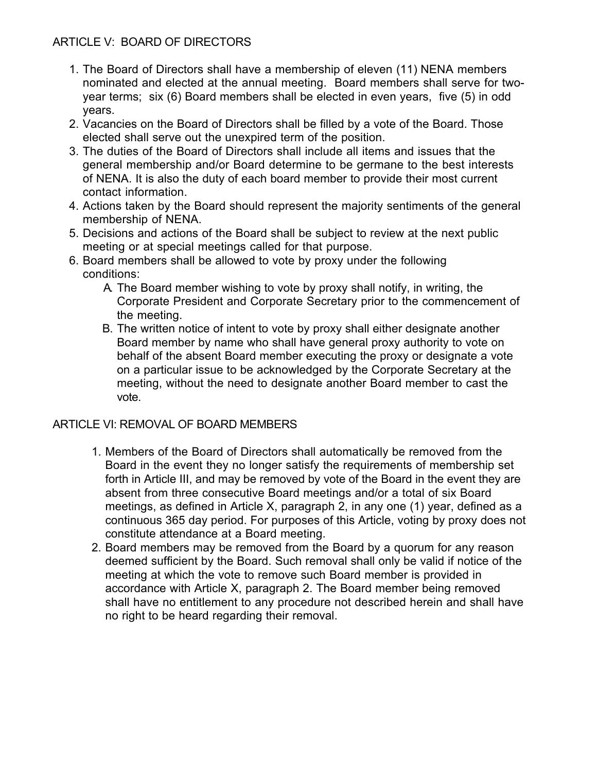# ARTICLE V: BOARD OF DIRECTORS

- 1. The Board of Directors shall have a membership of eleven (11) NENA members nominated and elected at the annual meeting. Board members shall serve for twoyear terms; six (6) Board members shall be elected in even years, five (5) in odd years.
- 2. Vacancies on the Board of Directors shall be filled by a vote of the Board. Those elected shall serve out the unexpired term of the position.
- 3. The duties of the Board of Directors shall include all items and issues that the general membership and/or Board determine to be germane to the best interests of NENA. It is also the duty of each board member to provide their most current contact information.
- 4. Actions taken by the Board should represent the majority sentiments of the general membership of NENA.
- 5. Decisions and actions of the Board shall be subject to review at the next public meeting or at special meetings called for that purpose.
- 6. Board members shall be allowed to vote by proxy under the following conditions:
	- A. The Board member wishing to vote by proxy shall notify, in writing, the Corporate President and Corporate Secretary prior to the commencement of the meeting.
	- B. The written notice of intent to vote by proxy shall either designate another Board member by name who shall have general proxy authority to vote on behalf of the absent Board member executing the proxy or designate a vote on a particular issue to be acknowledged by the Corporate Secretary at the meeting, without the need to designate another Board member to cast the vote.

# ARTICLE VI: REMOVAL OF BOARD MEMBERS

- 1. Members of the Board of Directors shall automatically be removed from the Board in the event they no longer satisfy the requirements of membership set forth in Article III, and may be removed by vote of the Board in the event they are absent from three consecutive Board meetings and/or a total of six Board meetings, as defined in Article X, paragraph 2, in any one (1) year, defined as a continuous 365 day period. For purposes of this Article, voting by proxy does not constitute attendance at a Board meeting.
- 2. Board members may be removed from the Board by a quorum for any reason deemed sufficient by the Board. Such removal shall only be valid if notice of the meeting at which the vote to remove such Board member is provided in accordance with Article X, paragraph 2. The Board member being removed shall have no entitlement to any procedure not described herein and shall have no right to be heard regarding their removal.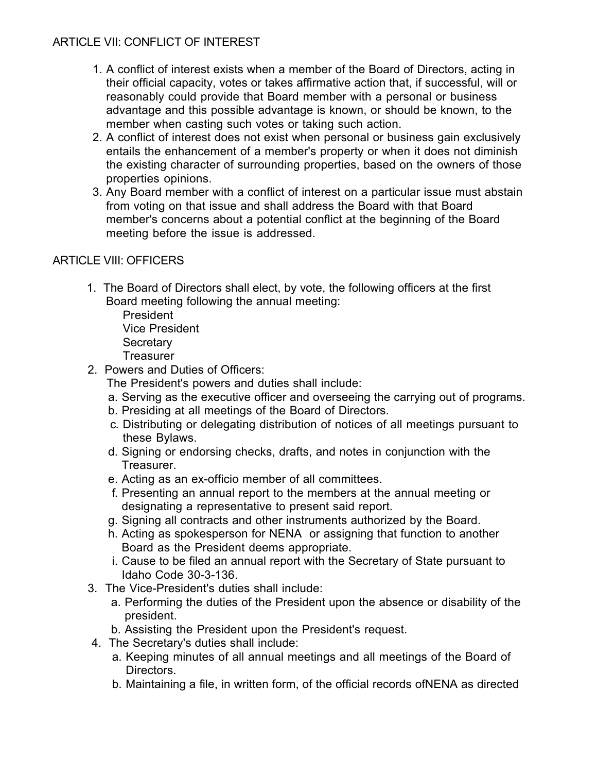# ARTICLE VII: CONFLICT OF INTEREST

- 1. A conflict of interest exists when a member of the Board of Directors, acting in their official capacity, votes or takes affirmative action that, if successful, will or reasonably could provide that Board member with a personal or business advantage and this possible advantage is known, or should be known, to the member when casting such votes or taking such action.
- 2. A conflict of interest does not exist when personal or business gain exclusively entails the enhancement of a member's property or when it does not diminish the existing character of surrounding properties, based on the owners of those properties opinions.
- 3. Any Board member with a conflict of interest on a particular issue must abstain from voting on that issue and shall address the Board with that Board member's concerns about a potential conflict at the beginning of the Board meeting before the issue is addressed.

# ARTICLE VIII: OFFICERS

1. The Board of Directors shall elect, by vote, the following officers at the first Board meeting following the annual meeting:

President Vice President **Secretary Treasurer** 

- 2. Powers and Duties of Officers:
	- The President's powers and duties shall include:
	- a. Serving as the executive officer and overseeing the carrying out of programs.
	- b. Presiding at all meetings of the Board of Directors.
	- c. Distributing or delegating distribution of notices of all meetings pursuant to these Bylaws.
	- d. Signing or endorsing checks, drafts, and notes in conjunction with the Treasurer.
	- e. Acting as an ex-officio member of all committees.
	- f. Presenting an annual report to the members at the annual meeting or designating a representative to present said report.
	- g. Signing all contracts and other instruments authorized by the Board.
	- h. Acting as spokesperson for NENA or assigning that function to another Board as the President deems appropriate.
	- i. Cause to be filed an annual report with the Secretary of State pursuant to Idaho Code 30-3-136.
- 3. The Vice-President's duties shall include:
	- a. Performing the duties of the President upon the absence or disability of the president.
	- b. Assisting the President upon the President's request.
- 4. The Secretary's duties shall include:
	- a. Keeping minutes of all annual meetings and all meetings of the Board of Directors.
	- b. Maintaining a file, in written form, of the official records ofNENA as directed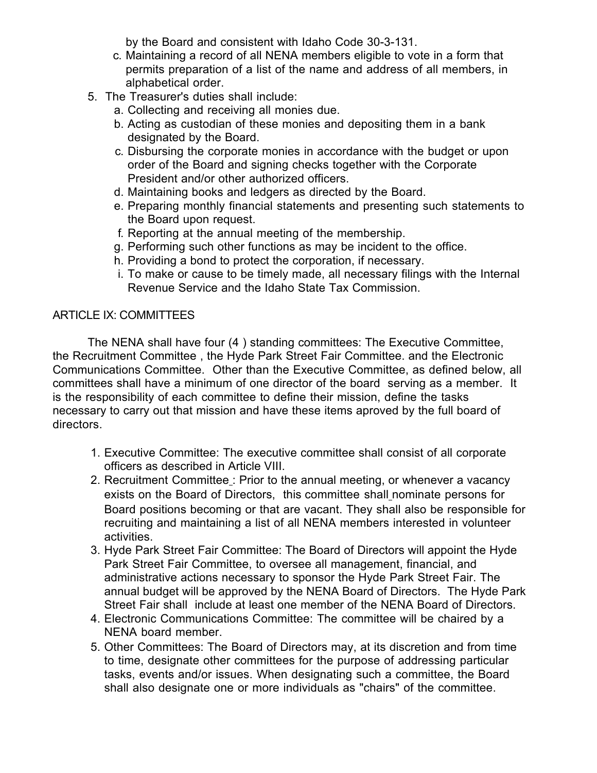by the Board and consistent with Idaho Code 30-3-131.

- c. Maintaining a record of all NENA members eligible to vote in a form that permits preparation of a list of the name and address of all members, in alphabetical order.
- 5. The Treasurer's duties shall include:
	- a. Collecting and receiving all monies due.
	- b. Acting as custodian of these monies and depositing them in a bank designated by the Board.
	- c. Disbursing the corporate monies in accordance with the budget or upon order of the Board and signing checks together with the Corporate President and/or other authorized officers.
	- d. Maintaining books and ledgers as directed by the Board.
	- e. Preparing monthly financial statements and presenting such statements to the Board upon request.
	- f. Reporting at the annual meeting of the membership.
	- g. Performing such other functions as may be incident to the office.
	- h. Providing a bond to protect the corporation, if necessary.
	- i. To make or cause to be timely made, all necessary filings with the Internal Revenue Service and the Idaho State Tax Commission.

### ARTICLE IX: COMMITTEES

The NENA shall have four (4 ) standing committees: The Executive Committee, the Recruitment Committee , the Hyde Park Street Fair Committee. and the Electronic Communications Committee. Other than the Executive Committee, as defined below, all committees shall have a minimum of one director of the board serving as a member. It is the responsibility of each committee to define their mission, define the tasks necessary to carry out that mission and have these items aproved by the full board of directors.

- 1. Executive Committee: The executive committee shall consist of all corporate officers as described in Article VIII.
- 2. Recruitment Committee: Prior to the annual meeting, or whenever a vacancy exists on the Board of Directors, this committee shall nominate persons for Board positions becoming or that are vacant. They shall also be responsible for recruiting and maintaining a list of all NENA members interested in volunteer activities.
- 3. Hyde Park Street Fair Committee: The Board of Directors will appoint the Hyde Park Street Fair Committee, to oversee all management, financial, and administrative actions necessary to sponsor the Hyde Park Street Fair. The annual budget will be approved by the NENA Board of Directors. The Hyde Park Street Fair shall include at least one member of the NENA Board of Directors.
- 4. Electronic Communications Committee: The committee will be chaired by a NENA board member.
- 5. Other Committees: The Board of Directors may, at its discretion and from time to time, designate other committees for the purpose of addressing particular tasks, events and/or issues. When designating such a committee, the Board shall also designate one or more individuals as "chairs" of the committee.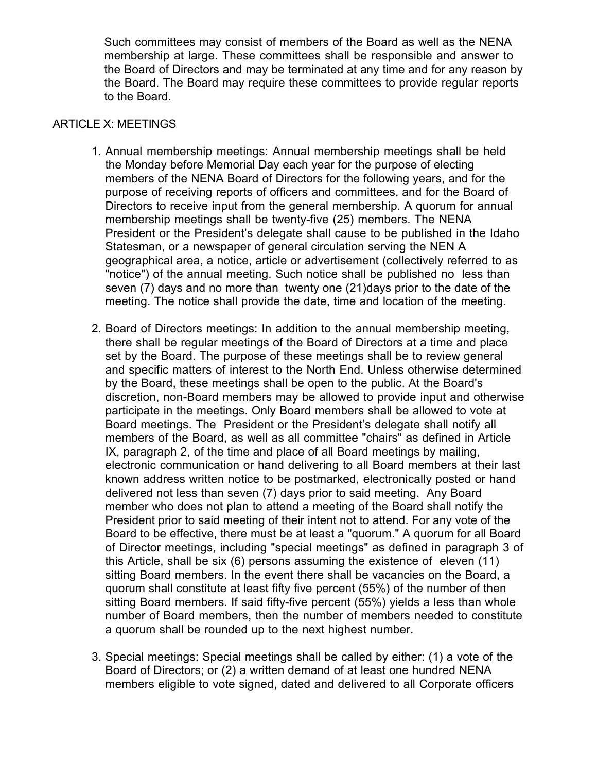Such committees may consist of members of the Board as well as the NENA membership at large. These committees shall be responsible and answer to the Board of Directors and may be terminated at any time and for any reason by the Board. The Board may require these committees to provide regular reports to the Board.

### ARTICLE X: MEETINGS

- 1. Annual membership meetings: Annual membership meetings shall be held the Monday before Memorial Day each year for the purpose of electing members of the NENA Board of Directors for the following years, and for the purpose of receiving reports of officers and committees, and for the Board of Directors to receive input from the general membership. A quorum for annual membership meetings shall be twenty-five (25) members. The NENA President or the President's delegate shall cause to be published in the Idaho Statesman, or a newspaper of general circulation serving the NEN A geographical area, a notice, article or advertisement (collectively referred to as "notice") of the annual meeting. Such notice shall be published no less than seven (7) days and no more than twenty one (21)days prior to the date of the meeting. The notice shall provide the date, time and location of the meeting.
- 2. Board of Directors meetings: In addition to the annual membership meeting, there shall be regular meetings of the Board of Directors at a time and place set by the Board. The purpose of these meetings shall be to review general and specific matters of interest to the North End. Unless otherwise determined by the Board, these meetings shall be open to the public. At the Board's discretion, non-Board members may be allowed to provide input and otherwise participate in the meetings. Only Board members shall be allowed to vote at Board meetings. The President or the President's delegate shall notify all members of the Board, as well as all committee "chairs" as defined in Article IX, paragraph 2, of the time and place of all Board meetings by mailing, electronic communication or hand delivering to all Board members at their last known address written notice to be postmarked, electronically posted or hand delivered not less than seven (7) days prior to said meeting. Any Board member who does not plan to attend a meeting of the Board shall notify the President prior to said meeting of their intent not to attend. For any vote of the Board to be effective, there must be at least a "quorum." A quorum for all Board of Director meetings, including "special meetings" as defined in paragraph 3 of this Article, shall be six (6) persons assuming the existence of eleven (11) sitting Board members. In the event there shall be vacancies on the Board, a quorum shall constitute at least fifty five percent (55%) of the number of then sitting Board members. If said fifty-five percent (55%) yields a less than whole number of Board members, then the number of members needed to constitute a quorum shall be rounded up to the next highest number.
- 3. Special meetings: Special meetings shall be called by either: (1) a vote of the Board of Directors; or (2) a written demand of at least one hundred NENA members eligible to vote signed, dated and delivered to all Corporate officers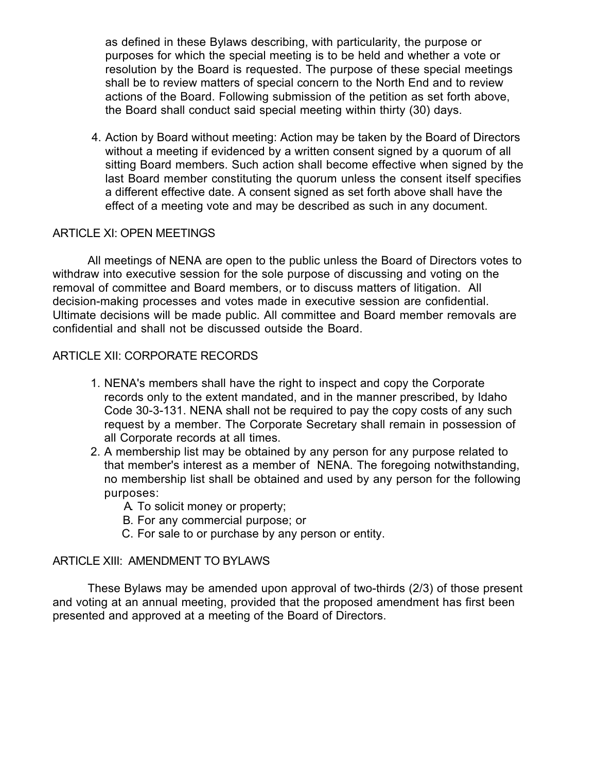as defined in these Bylaws describing, with particularity, the purpose or purposes for which the special meeting is to be held and whether a vote or resolution by the Board is requested. The purpose of these special meetings shall be to review matters of special concern to the North End and to review actions of the Board. Following submission of the petition as set forth above, the Board shall conduct said special meeting within thirty (30) days.

4. Action by Board without meeting: Action may be taken by the Board of Directors without a meeting if evidenced by a written consent signed by a quorum of all sitting Board members. Such action shall become effective when signed by the last Board member constituting the quorum unless the consent itself specifies a different effective date. A consent signed as set forth above shall have the effect of a meeting vote and may be described as such in any document.

# ARTICLE XI: OPEN MEETINGS

All meetings of NENA are open to the public unless the Board of Directors votes to withdraw into executive session for the sole purpose of discussing and voting on the removal of committee and Board members, or to discuss matters of litigation. All decision-making processes and votes made in executive session are confidential. Ultimate decisions will be made public. All committee and Board member removals are confidential and shall not be discussed outside the Board.

# ARTICLE XII: CORPORATE RECORDS

- 1. NENA's members shall have the right to inspect and copy the Corporate records only to the extent mandated, and in the manner prescribed, by Idaho Code 30-3-131. NENA shall not be required to pay the copy costs of any such request by a member. The Corporate Secretary shall remain in possession of all Corporate records at all times.
- 2. A membership list may be obtained by any person for any purpose related to that member's interest as a member of NENA. The foregoing notwithstanding, no membership list shall be obtained and used by any person for the following purposes:
	- A. To solicit money or property;
	- B. For any commercial purpose; or
	- C. For sale to or purchase by any person or entity.

### ARTICLE XIII: AMENDMENT TO BYLAWS

These Bylaws may be amended upon approval of two-thirds (2/3) of those present and voting at an annual meeting, provided that the proposed amendment has first been presented and approved at a meeting of the Board of Directors.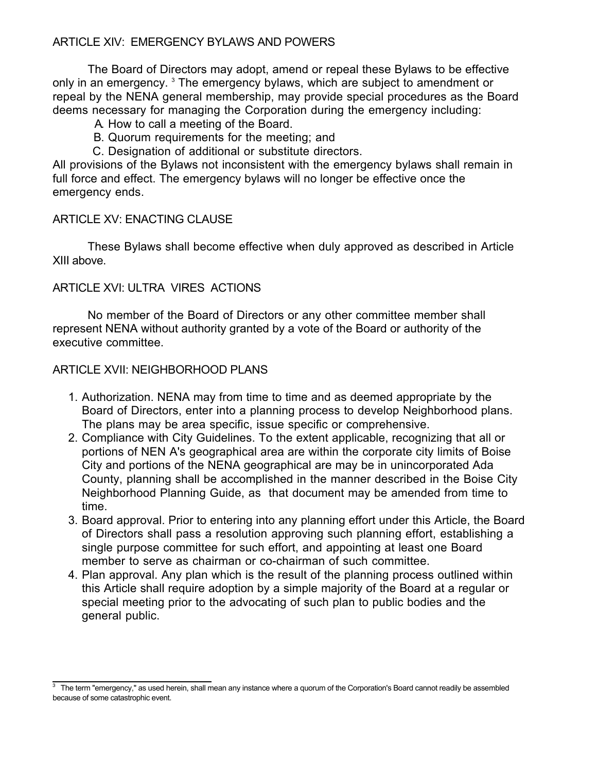# ARTICLE XIV: EMERGENCY BYLAWS AND POWERS

The Board of Directors may adopt, amend or repeal these Bylaws to be effective only in an emergency.<sup>3</sup> The emergency bylaws, which are subject to amendment or repeal by the NENA general membership, may provide special procedures as the Board deems necessary for managing the Corporation during the emergency including:

- A. How to call a meeting of the Board.
- B. Quorum requirements for the meeting; and
- C. Designation of additional or substitute directors.

All provisions of the Bylaws not inconsistent with the emergency bylaws shall remain in full force and effect. The emergency bylaws will no longer be effective once the emergency ends.

# ARTICLE XV: ENACTING CLAUSE

These Bylaws shall become effective when duly approved as described in Article XIII above.

# ARTICLE XVI: ULTRA VIRES ACTIONS

No member of the Board of Directors or any other committee member shall represent NENA without authority granted by a vote of the Board or authority of the executive committee.

# ARTICLE XVII: NEIGHBORHOOD PLANS

- 1. Authorization. NENA may from time to time and as deemed appropriate by the Board of Directors, enter into a planning process to develop Neighborhood plans. The plans may be area specific, issue specific or comprehensive.
- 2. Compliance with City Guidelines. To the extent applicable, recognizing that all or portions of NEN A's geographical area are within the corporate city limits of Boise City and portions of the NENA geographical are may be in unincorporated Ada County, planning shall be accomplished in the manner described in the Boise City Neighborhood Planning Guide, as that document may be amended from time to time.
- 3. Board approval. Prior to entering into any planning effort under this Article, the Board of Directors shall pass a resolution approving such planning effort, establishing a single purpose committee for such effort, and appointing at least one Board member to serve as chairman or co-chairman of such committee.
- 4. Plan approval. Any plan which is the result of the planning process outlined within this Article shall require adoption by a simple majority of the Board at a regular or special meeting prior to the advocating of such plan to public bodies and the general public.

<sup>3</sup> The term "emergency," as used herein, shall mean any instance where a quorum of the Corporation's Board cannot readily be assembled because of some catastrophic event.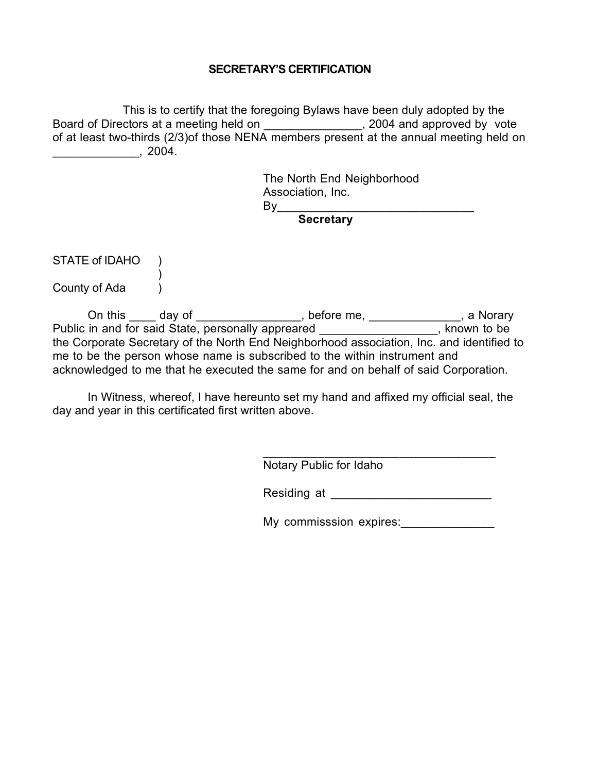#### **SECRETARY'S CERTIFICATION**

This is to certify that the foregoing Bylaws have been duly adopted by the Board of Directors at a meeting held on \_\_\_\_\_\_\_\_\_\_\_\_\_\_\_\_, 2004 and approved by vote of at least two-thirds (2/3)of those NENA members present at the annual meeting held on \_\_\_\_\_\_\_\_\_\_\_\_\_, 2004.

> The North End Neighborhood Association, Inc. By\_\_\_\_\_\_\_\_\_\_\_\_\_\_\_\_\_\_\_\_\_\_\_\_\_\_\_\_\_

**Secretary**

STATE of IDAHO )

)

County of Ada (1)

On this \_\_\_\_\_ day of \_\_\_\_\_\_\_\_\_\_\_\_\_\_\_\_, before me, \_\_\_\_\_\_\_\_\_\_\_\_\_\_, a Norary Public in and for said State, personally appreared **example 20 and 3**, known to be the Corporate Secretary of the North End Neighborhood association, Inc. and identified to me to be the person whose name is subscribed to the within instrument and acknowledged to me that he executed the same for and on behalf of said Corporation.

In Witness, whereof, I have hereunto set my hand and affixed my official seal, the day and year in this certificated first written above.

Notary Public for Idaho

Residing at \_\_\_\_\_\_\_\_\_\_\_\_\_\_\_\_\_\_\_\_\_\_\_\_

\_\_\_\_\_\_\_\_\_\_\_\_\_\_\_\_\_\_\_\_\_\_\_\_\_\_\_\_\_\_\_\_\_\_

My commisssion expires: